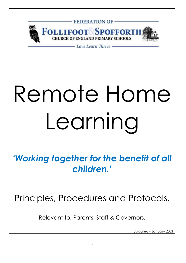

# Remote Home Learning

*'Working together for the benefit of all children.'*

Principles, Procedures and Protocols.

Relevant to; Parents, Staff & Governors.

Updated - January 2021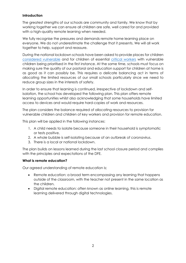# **Introduction**

The greatest strengths of our schools are community and family. We know that by working together we can ensure all children are safe, well cared for and provided with a high-quality remote learning when needed.

We fully recognise the pressures and demands remote home learning place on everyone. We do not underestimate the challenge that it presents. We will all work together to help, support and reassure.

During the national lockdown schools have been asked to provide places for children [considered vulnerable](https://www.gov.uk/government/publications/coronavirus-covid-19-maintaining-educational-provision/guidance-for-schools-colleges-and-local-authorities-on-maintaining-educational-provision) and for children of essential [critical workers](https://www.gov.uk/government/publications/coronavirus-covid-19-maintaining-educational-provision/guidance-for-schools-colleges-and-local-authorities-on-maintaining-educational-provision) with vulnerable children being prioritised in the first instance. At the same time, schools must focus on making sure the quality of our pastoral and education support for children at home is as good as it can possibly be. This requires a delicate balancing act in terms of allocating the limited resources of our small schools particularly since we need to reduce group sizes in the interests of safety.

In order to ensure that learning is continued, irrespective of lockdown and selfisolation, the school has developed the following plan. This plan offers remote learning opportunities whilst also acknowledging that some households have limited access to devices and would require hard-copies of work and resources.

The plan considers the balance required of allocating resources to provision for vulnerable children and children of key workers and provision for remote education.

This plan will be applied in the following instances:

- 1. A child needs to isolate because someone in their household is symptomatic or tests positive.
- 2. A whole bubble is self-isolating because of an outbreak of coronavirus.
- 3. There is a local or national lockdown.

The plan builds on lessons learned during the last school closure period and complies with the principles and expectations of the DFE.

### **What is remote education?**

Our agreed understanding of remote education is;

- Remote education: a broad term encompassing any learning that happens outside of the classroom, with the teacher not present in the same location as the children.
- Digital remote education: often known as online learning, this is remote learning delivered through digital technologies.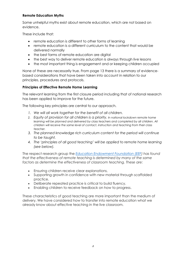# **Remote Education Myths**

Some unhelpful myths exist about remote education, which are not based on evidence.

These include that:

- remote education is different to other forms of learning
- remote education is a different curriculum to the content that would be delivered normally
- the best forms of remote education are digital
- the best way to deliver remote education is always through live lessons
- the most important thing is engagement and or keeping children occupied

None of these are necessarily true. From page 13 there is a summary of evidencebased considerations that have been taken into account in relation to our principles, procedures and protocols.

# **Principles of Effective Remote Home Learning**

The relevant learning from the first closure period including that of national research has been applied to improve for the future.

The following key principles are central to our approach.

- *1. We will all work together for the benefit of all children.*
- *2. Equity of provision for all children is a priority. In national lockdown remote home learning will be planned and delivered by class teachers and completed by all children. All children will receive the same level of contact, instruction and teaching from their class teacher.*
- *3. The planned knowledge rich curriculum content for the period will continue to be taught.*
- *4. The 'principles of all good teaching' will be applied to remote home learning (see below).*

The respect research group the *[Education Endowment Foundation \(EEF\)](https://educationendowmentfoundation.org.uk/news/eef-publishes-new-review-of-evidence-on-remote-learning/) has found that the effectiveness of remote teaching is determined by many of the same factors as determine the effectiveness of classroom teaching. These are:*

- Ensuring children receive clear explanations.
- Supporting growth in confidence with new material through scaffolded practice.
- Deliberate repeated practice is critical to build fluency.
- Enabling children to receive feedback on how to progress.

These characteristics of good teaching are more important than the medium of delivery. We have considered how to transfer into remote education what we already know about effective teaching in the live classroom.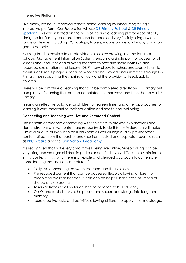### **Interactive Platform**

Like many, we have improved remote home learning by introducing a single, interactive platform. Our Federation will use [DB Primary Follifoot](https://follifoot-n-yorks.secure-dbprimary.com/service/util/login?path=/n-yorks/primary/follifoot) & [DB Primary](https://spofforth-n-yorks.secure-dbprimary.com/service/util/login?path=/n-yorks/primary/spofforth)  [Spofforth.](https://spofforth-n-yorks.secure-dbprimary.com/service/util/login?path=/n-yorks/primary/spofforth) This was selected on the basis of it being a learning platform specifically designed for Primary children. It can also be accessed very flexibly using a wide range of devices including; PC, laptops, tablets, mobile phone, and many common games consoles.

By using this, it is possible to create virtual classes by drawing information from schools' Management Information Systems, enabling a single point of access for all lessons and resources and allowing teachers to host and share both live and recorded explanations and lessons. DB Primary allows teachers and support staff to monitor children's progress because work can be viewed and submitted through DB Primary thus supporting the sharing of work and the provision of feedback to children.

There will be a mixture of learning that can be completed directly on DB Primary but also plenty of learning that can be completed in other ways and then shared via DB Primary.

Finding an effective balance for children of 'screen time' and other approaches to learning is very important to their education and health and wellbeing.

# **Connecting and Teaching with Live and Recorded Content**

The benefits of teachers connecting with their class to provide explanations and demonstrations of new content are recognised. To do this the Federation will make use of a mixture of live video calls via Zoom as well as high quality pre-recorded content direct from the teacher and also from trusted and respected sources such as [BBC Bitesize](https://www.bbc.co.uk/bitesize) and the [Oak National Academy.](https://www.thenational.academy/)

It is recognised that not every child thrives being live online. Video calling can be very tiring and younger children in particular can find it very difficult to sustain focus in this context. This is why there is a flexible and blended approach to our remote home leaning that includes a mixture of;

- Daily live connecting between teachers and their classes.
- Pre-recoded content that can be accessed flexibly allowing children to recap and revisit as needed. It can also be helpful in the case of limited or shared device access.
- Tasks /activities to allow for deliberate practice to build fluency.
- Quiz's and fact checks to help build and secure knowledge into long term memory.
- More creative tasks and activities allowing children to apply their knowledge.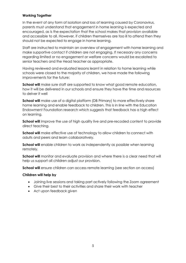# **Working Together**

In the event of any form of isolation and loss of learning caused by Coronavirus, parents must understand that engagement in home learning is expected and encouraged, as is the expectation that the school makes that provision available and accessible to all. However, if children themselves are too ill to attend then they should not be expected to engage in home learning.

Staff are instructed to maintain an overview of engagement with home learning and make supportive contact if children are not engaging. If necessary any concerns regarding limited or no engagement or welfare concerns would be escalated to senior teachers and the Head teacher as appropriate.

Having reviewed and evaluated lessons learnt in relation to home learning while schools were closed to the majority of children, we have made the following improvements for the future:

**School will** make sure staff are supported to know what good remote education, how it will be delivered in our schools and ensure they have the time and resources to delver it well

**School will** make use of a digital platform (DB Primary) to more effectively share home learning and enable feedback to children. This is in line with the Education Endowment Foundation research which suggests that feedback has a high effect on learning.

**School will** Improve the use of high quality live and pre-recoded content to provide direct teaching.

**School will** make effective use of technology to allow children to connect with adults and peers and learn collaboratively.

**School will** enable children to work as independently as possible when learning remotely.

**School will** monitor and evaluate provision and where there is a clear need that will help us support all children adjust our provision.

**School will** ensure children can access remote learning (see section on access)

### **Children will help by**

- Joining live sessions and taking part actively following the Zoom agreement
- Give their best to their activities and share their work with teacher
- Act upon feedback given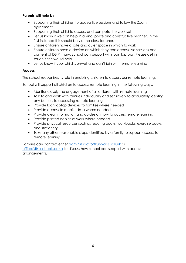# **Parents will help by**

- Supporting their children to access live sessions and follow the Zoom agreement
- Supporting their child to access and compete the work set
- Let us know if we can help in a kind, polite and constructive manner. In the first instance this should be via the class teacher.
- Ensure children have a safe and quiet space in which to work
- Ensure children have a device on which they can access live sessions and content of DB Primary. School can support with loan laptops. Please get in touch if this would help.
- Let us know if your child is unwell and can't join with remote learning

# **Access**

The school recognises its role in enabling children to access our remote learning.

School will support all children to access remote learning in the following ways;

- Monitor closely the engagement of all children with remote learning
- Talk to and work with families individually and sensitively to accurately identify any barriers to accessing remote learning
- Provide loan laptop devices to families where needed
- Provide access to mobile data where needed
- Provide clear information and guides on how to access remote learning
- Provide printed copies of work where needed
- Provide physical resources such as reading books, workbooks, exercise books and stationery
- Take any other reasonable steps identified by a family to support access to remote learning

Families can contact either [admin@spofforth.n-yorks.sch.uk](mailto:admin@spofforth.n-yorks.sch.uk) or [office@ffspschools.co.uk](mailto:office@ffspschools.co.uk) to discuss how school can support with access arrangements.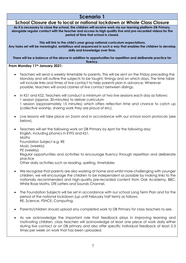# **Scenario 1**

# **School Closure due to local or national lockdown or Whole Class Closure As it is necessary to close the school, the children will receive work via our learning platform DB Primary, alongside regular contact with the teacher and access to high quality live and pre-recorded videos for the period of time that school is closed. This will link to the child's year group national curriculum expectations. Any tasks set will be meaningful, ambitious and sequenced in such a way that enables the children to develop skills and knowledge over time. There will be a balance of the above in addition to opportunities for repetition and deliberate practice for fluency. From Monday 11th January 2021:** • Teachers will send a weekly timetable to parents. This will be sent on the Friday preceding the Monday and will outline the subjects to be taught, timings and on which days. The time table will include links and times of live contact to help parents plan in advance. Wherever possible, teachers will avoid clashes of live contact between siblings. • In KS1 and KS2, Teachers will conduct a minimum of two live sessions each day as follows: 1 session (approx. 30-minutes) to deliver curriculum 1 session (approximately 15 minutes) which offers reflection time and chance to catch up (collective worship, sharing work they are proud of etc). • Live lessons will take place on Zoom and in accordance with our school zoom protocols (see below). • Teachers will set the following work on DB Primary by 6pm for the following day: English, including phonics in EYFS and KS1. Maths Foundation Subject e.g. RE Music (weekly) PE (weekly) Regular opportunities and activities to encourage fluency through repetition and deliberate practice Other daily activities such as reading, spelling, timetables • We recognise that parents are also working at home and whilst more challenging with younger children, we will encourage the children to be independent as possible by making links to the nationally recommended and high-quality pre-recorded content from Oak Academy, BBC, White Rose Maths, DfE Letters and Sounds Channel. • The Foundation Subjects will be set in accordance with our school Long Term Plan and for the period of the national lockdown (up until February half term) as follows: RE, Science, PSHCE, Computing. • Parents/children should upload any completed work to DB Primary for class teachers to see.

As we acknowledge the important role that feedback plays in improving learning and motivating children, class teachers will acknowledge at least one piece of work daily either during live contact or on DB primary and also offer specific individual feedback at least 2-3 times per week on work that has been uploaded.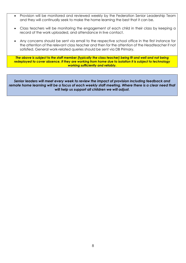- Provision will be monitored and reviewed weekly by the Federation Senior Leadership Team and they will continually seek to make the home learning the best that it can be.
- Class teachers will be monitoring the engagement of each child in their class by keeping a record of the work uploaded, and attendance in live contact.
- Any concerns should be sent via email to the respective school office in the first instance for the attention of the relevant class teacher and then for the attention of the Headteacher if not satisfied. General work-related queries should be sent via DB Primary.

*The above is subject to the staff member (typically the class teacher) being fit and well and not being redeployed to cover absence. If they are working from home due to isolation it is subject to technology working sufficiently and reliably.*

*Senior leaders will meet every week to review the impact of provision including feedback and remote home learning will be a focus of each weekly staff meeting. Where there is a clear need that will help us support all children we will adjust.*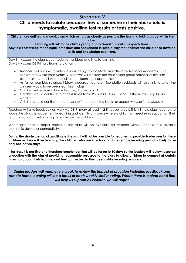# **Scenario 2**

# **Child needs to isolate because they or someone in their household is symptomatic, awaiting test results or tests positive.**

**Children are entitled to a curriculum which mirrors as closely as possible the learning taking place within the class.**

#### **Learning will link to the child's year group national curriculum expectations.**

**Any tasks set will be meaningful, ambitious and sequenced in such a way that enables the children to develop skills and knowledge over time.** 

Day 1 – Access the class page (website) for ideas and links to learning.

Day 2 – Access DB Primary learning platform:

- Teachers will put links to video lessons in English and Maths from the Oak National Academy, BBC Bitesize and White Rose Maths. Objectives will be from the child's year group national curriculum expectations and linked to their current learning (if appropriate).
- As far as possible, science, history, geography/chosen foundation subjects will also link to what the children would have been learning in class.
- Children will receive a Home Learning Log in for REAL PE
- Children should continue to access Times Table Rockstars, Daily 10 and Hit the Button (Top Marks website)
- Children should continue to read school/ home reading books or access www.oxfordowl.co.uk

Teachers will give feedback on work via DB Primary at least **1-2** times per week. This will help class teachers to judge the child's engagement in learning and identify any areas where a child may need extra support on their return to school. It will also help to motivate the children.

Where appropriate, paper copies of the tasks will be available for children without access to a suitable electronic device or connectivity.

**During the shorter period of awaiting test results it will not be possible for teachers to provide live lessons for these children as they will be teaching the children who are in school and the remote learning period is likely to be only one or two days.** 

**If test result is positive and therefore remote learning will be for up to 10 days senior leaders will review resource allocation with the aim of providing reasonable resource to the class to allow children to connect at certain times to support their learning and feel connected to their peers while learning remotely.**

*Senior leaders will meet every week to review the impact of provision including feedback and remote home learning will be a focus of each weekly staff meeting. Where there is a clear need that will help us support all children we will adjust.*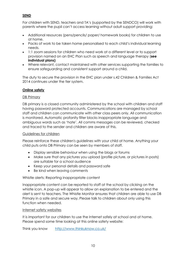# **SEND**

For children with SEND, teachers and TA's (supported by the SENDCO) will work with parents where the pupil can't access learning without adult support providing:

- Additional resources (pens/pencils/ paper/ homework books) for children to use at home.
- Packs of work to be taken home personalised to each child's individual learning needs.
- 1:1 zoom sessions for children who need work at a different level or to support provision named on an EHC Plan such as speech and language therapy (**see individual plans)**
- Where relevant, contact maintained with other services supporting the families to ensure safeguarding and consistent support around a child.

The duty to secure the provision in the EHC plan under s.42 Children & Families Act 2014 continues under the tier system.

# **Online safety**

### DB Primary

DB primary is a closed community administered by the school with children and staff having password protected accounts. Communications are managed by school staff and children can communicate with other class peers only. All communication is monitored. Automatic profanity filter blocks inappropriate language and ambiguous words such as 'hate'. All comms messages can be reviewed, checked and traced to the sender and children are aware of this.

### Guidelines for children

Please reinforce these children's guidelines with your child at home. Anything your child puts onto DB Primary can be seen by members of staff.

- Display sensible behaviour when using the blogs or forums
- Make sure that any pictures you upload (profile picture, or pictures in posts) are suitable for a school audience
- Keep your personal details and password safe
- Be kind when leaving comments

### Whistle alerts: Reporting inappropriate content

Inappropriate content can be reported to staff at the school by clicking on the whistle icon. A pop-up will appear to allow an explanation to be entered and the alert is sent to teachers. The Whistle Monitor ensures that children are able to use DB Primary in a safe and secure way. Please talk to children about only using this function when needed.

### Internet safety websites

It is important for our children to use the Internet safely at school and at home. Please spend some time looking at this online safety website:

Think you know <http://www.thinkuknow.co.uk/>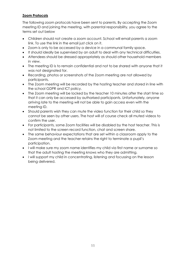# **Zoom Protocols**

The following zoom protocols have been sent to parents. By accepting the Zoom meeting ID and joining the meeting, with parental responsibility, you agree to the terms set out below

- Children should not create a zoom account. School will email parents a zoom link. To use the link in the email just click on it.
- Zoom is only to be accessed by a device in a communal family space.
- It should ideally be supervised by an adult to deal with any technical difficulties.
- Attendees should be dressed appropriately as should other household members in view.
- The meeting ID is to remain confidential and not to be shared with anyone that it was not designated for.
- Recording, photos or screenshots of the Zoom meeting are not allowed by participants.
- The Zoom meeting will be recorded by the hosting teacher and stored in line with the school GDPR and ICT policy.
- The Zoom meeting will be locked by the teacher 10 minutes after the start time so that it can only be accessed by authorised participants. Unfortunately, anyone arriving late to the meeting will not be able to gain access even with the meeting ID.
- Should parents wish they can mute the video function for their child so they cannot be seen by other users. The host will of course check all muted videos to confirm the user.
- For participants, some Zoom facilities will be disabled by the host teacher. This is not limited to the screen record function, chat and screen share.
- The same behaviour expectations that are set within a classroom apply to the Zoom meeting and the teacher retains the right to terminate a pupil's participation.
- I will make sure my zoom name identifies my child via first name or surname so that the adult hosting the meeting knows who they are admitting.
- I will support my child in concentrating, listening and focussing on the lesson being delivered.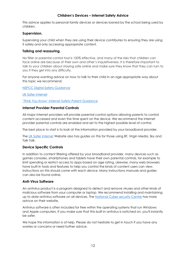## **Children's Devices – Internet Safety Advice**

This advice applies to personal family devices or devices loaned by the school being used by children.

#### **Supervision.**

Supervising your child when they are using their device contributes to ensuring they are using it safely and only accessing appropriate content.

#### **Talking and reassuring.**

No filter or parental control tool is 100% effective, and many of the risks that children can face online are because of their own and other's inquisitiveness. It is therefore important to talk to your children about staying safe online and make sure they know that they can turn to you if they get into any difficulty.

For anyone wanting advice on how to talk to their child in an age appropriate way about this topic we recommend;

[NSPCC Digital Safety Guidance](https://www.nspcc.org.uk/keeping-children-safe/online-safety/talking-child-online-safety/)

UK [Safer Internet](https://www.saferinternet.org.uk/blog/having-open-and-honest-conversation-about-online-safety-%E2%80%93-5-questions-parents)

#### ['Think You Know' Internet Safety Parent Guidance](https://www.thinkuknow.co.uk/parents/)

#### **Internet Provider Parental Controls**

All major internet providers will provide parental control options allowing parents to control content accessed and even the time spent on the device. We recommend the internet provider parental controls are enabled and set to the highest possible level of control.

The best place to start is to look at the information provided by your broadband provider.

The [UK Safer Internet](https://www.saferinternet.org.uk/advice-centre/parents-and-carers/parental-controls-offered-your-home-internet-provider) Website also has guides on this for those using BT, Virgin Media, Sky and Talk Talk.

#### **Device Specific Controls**

In addition to content filtering offered by your broadband provider, many devices such as games consoles, smartphones and tablets have their own parental controls, for example to limit spending or restrict access to apps based on age rating. Likewise, many web browsers have built-in tools and features to help you control the kinds of content users can view. Instructions on this should come with each device. Many instructions manuals and guides can also be found online.

#### **Anti-Virus Software**

An antivirus product is a program designed to detect and remove viruses and other kinds of malicious software from your computer or laptop. We recommend installing and maintaining up to date antivirus software on all devices. The [National Cyber security Centre](https://www.ncsc.gov.uk/guidance/what-is-an-antivirus-product) has more advice on their website.

Antivirus software is often included for free within the operating systems that run Windows and Apple computers. If you make sure that this built-in antivirus is switched on, you'll instantly be safer.

We hope this information is of help. Please do not hesitate to get in touch if you have any worries or concerns or need further advice.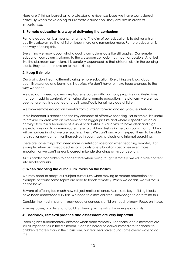Here are 7 things based on a professional evidence base we have considered carefully when developing our remote education. They are not in order of importance.

### **1: Remote education is a way of delivering the curriculum**

Remote education is a means, not an end. The aim of our education is to deliver a highquality curriculum so that children know more and remember more. Remote education is one way of doing this.

Everything we know about what a quality curriculum looks like still applies. Our remote education curriculum is aligned to the classroom curriculum as much as possible. And, just like the classroom curriculum, it is carefully sequenced so that children obtain the building blocks they need to move on to the next step.

#### **2: Keep it simple**

Our brains don't learn differently using remote education. Everything we know about cognitive science and learning still applies. We don't have to make huge changes to the way we teach.

We also don't need to overcomplicate resources with too many graphics and illustrations that don't add to content. When using digital remote education, the platform we use has been chosen as its designed and built specifically for primary age children.

We know remote education benefits from a straightforward and easy-to-use interface.

More important is attention to the key elements of effective teaching. For example, it's useful to provide children with an overview of the bigger picture and where a specific lesson or activity sits within a sequence of lessons or activities. It's also vital to have clear and high expectations and to communicate these to children. Just as in the classroom, most children will be novices in what we are teaching them. We can't and won't expect them to be able to discover new content for themselves through tasks, projects and internet searching.

There are some things that need more careful consideration when teaching remotely. For example, when using recorded lessons, clarity of explanations becomes even more important as we can't as easily correct misunderstandings or misconceptions.

As it's harder for children to concentrate when being taught remotely, we will divide content into smaller chunks.

#### **3: When adapting the curriculum, focus on the basics**

We may need to adapt our subject curriculum when moving to remote education, for example because some topics are hard to teach remotely. When we do this, we will focus on the basics:

Beware of offering too much new subject matter at once. Make sure key building blocks have been understood fully first. We need to assess children' knowledge to determine this.

Consider the most important knowledge or concepts children need to know. Focus on those.

In many cases, practising and building fluency with existing knowledge and skills

#### **4: Feedback, retrieval practice and assessment are very important**

Learning isn't fundamentally different when done remotely. Feedback and assessment are still as important as in the classroom. It can be harder to deliver immediate feedback to children remotely than in the classroom, but teachers have found some clever ways to do this.